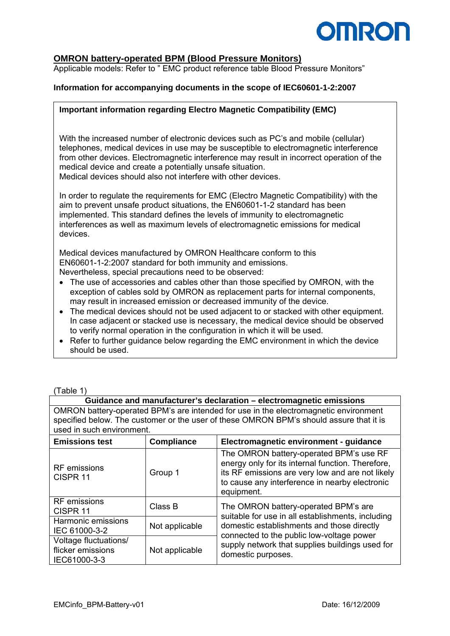

## **OMRON battery-operated BPM (Blood Pressure Monitors)**

Applicable models: Refer to " EMC product reference table Blood Pressure Monitors"

## **Information for accompanying documents in the scope of IEC60601-1-2:2007**

### **Important information regarding Electro Magnetic Compatibility (EMC)**

With the increased number of electronic devices such as PC's and mobile (cellular) telephones, medical devices in use may be susceptible to electromagnetic interference from other devices. Electromagnetic interference may result in incorrect operation of the medical device and create a potentially unsafe situation. Medical devices should also not interfere with other devices.

In order to regulate the requirements for EMC (Electro Magnetic Compatibility) with the aim to prevent unsafe product situations, the EN60601-1-2 standard has been implemented. This standard defines the levels of immunity to electromagnetic interferences as well as maximum levels of electromagnetic emissions for medical devices.

Medical devices manufactured by OMRON Healthcare conform to this EN60601-1-2:2007 standard for both immunity and emissions. Nevertheless, special precautions need to be observed:

- The use of accessories and cables other than those specified by OMRON, with the exception of cables sold by OMRON as replacement parts for internal components, may result in increased emission or decreased immunity of the device.
- The medical devices should not be used adjacent to or stacked with other equipment. In case adjacent or stacked use is necessary, the medical device should be observed to verify normal operation in the configuration in which it will be used.
- Refer to further guidance below regarding the EMC environment in which the device should be used.

(Table 1)

#### **Guidance and manufacturer's declaration – electromagnetic emissions**

OMRON battery-operated BPM's are intended for use in the electromagnetic environment specified below. The customer or the user of these OMRON BPM's should assure that it is used in such environment.

| <b>Emissions test</b>                                      | <b>Compliance</b> | Electromagnetic environment - guidance                                                                                                                                                                           |  |
|------------------------------------------------------------|-------------------|------------------------------------------------------------------------------------------------------------------------------------------------------------------------------------------------------------------|--|
| <b>RF</b> emissions<br>CISPR <sub>11</sub>                 | Group 1           | The OMRON battery-operated BPM's use RF<br>energy only for its internal function. Therefore,<br>its RF emissions are very low and are not likely<br>to cause any interference in nearby electronic<br>equipment. |  |
| <b>RF</b> emissions<br>CISPR <sub>11</sub>                 | Class B           | The OMRON battery-operated BPM's are<br>suitable for use in all establishments, including                                                                                                                        |  |
| Harmonic emissions<br>IEC 61000-3-2                        | Not applicable    | domestic establishments and those directly<br>connected to the public low-voltage power<br>supply network that supplies buildings used for<br>domestic purposes.                                                 |  |
| Voltage fluctuations/<br>flicker emissions<br>IEC61000-3-3 | Not applicable    |                                                                                                                                                                                                                  |  |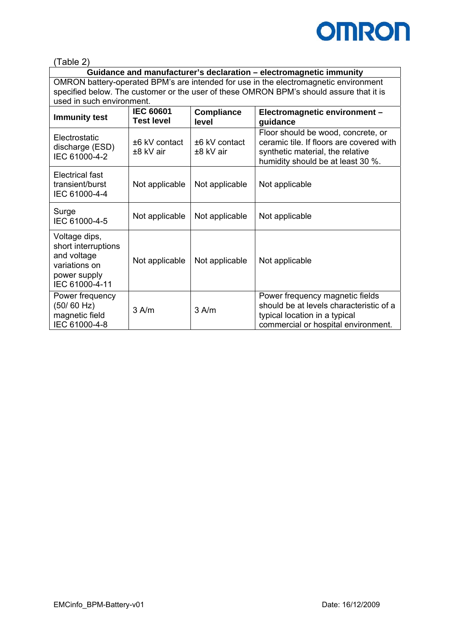

(Table 2)

**Guidance and manufacturer's declaration – electromagnetic immunity**  OMRON battery-operated BPM's are intended for use in the electromagnetic environment specified below. The customer or the user of these OMRON BPM's should assure that it is used in such environment.

| <b>Immunity test</b>                                                                                   | <b>IEC 60601</b><br><b>Test level</b> | <b>Compliance</b><br>level | Electromagnetic environment -<br>guidance                                                                                                               |  |
|--------------------------------------------------------------------------------------------------------|---------------------------------------|----------------------------|---------------------------------------------------------------------------------------------------------------------------------------------------------|--|
| Electrostatic<br>discharge (ESD)<br>IEC 61000-4-2                                                      | $±6$ kV contact<br>±8 kV air          | ±6 kV contact<br>±8 kV air | Floor should be wood, concrete, or<br>ceramic tile. If floors are covered with<br>synthetic material, the relative<br>humidity should be at least 30 %. |  |
| Electrical fast<br>transient/burst<br>IEC 61000-4-4                                                    | Not applicable                        | Not applicable             | Not applicable                                                                                                                                          |  |
| Surge<br>IEC 61000-4-5                                                                                 | Not applicable                        | Not applicable             | Not applicable                                                                                                                                          |  |
| Voltage dips,<br>short interruptions<br>and voltage<br>variations on<br>power supply<br>IEC 61000-4-11 | Not applicable                        | Not applicable             | Not applicable                                                                                                                                          |  |
| Power frequency<br>(50/60 Hz)<br>magnetic field<br>IEC 61000-4-8                                       | $3$ A/m                               | $3$ A/m                    | Power frequency magnetic fields<br>should be at levels characteristic of a<br>typical location in a typical<br>commercial or hospital environment.      |  |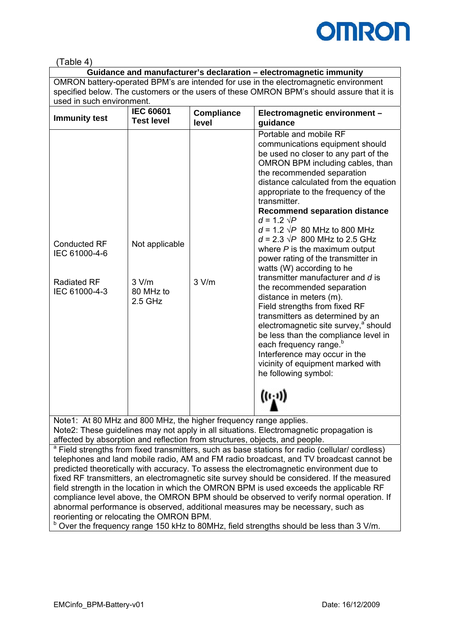

# (Table 4)

| Guidance and manufacturer's declaration – electromagnetic immunity                        |
|-------------------------------------------------------------------------------------------|
| OMRON battery-operated BPM's are intended for use in the electromagnetic environment      |
| specified below. The customers or the users of these OMRON BPM's should assure that it is |
| used in such environment.                                                                 |
|                                                                                           |

| <b>Immunity test</b>                                                                                           | <b>IEC 60601</b> | <b>Compliance</b> | Electromagnetic environment -                                                                                                                                                                                                                                                                                                                                                                                                                                                                                                                                                                                                                                                                                                                                                                                                                                                                                                                |
|----------------------------------------------------------------------------------------------------------------|------------------|-------------------|----------------------------------------------------------------------------------------------------------------------------------------------------------------------------------------------------------------------------------------------------------------------------------------------------------------------------------------------------------------------------------------------------------------------------------------------------------------------------------------------------------------------------------------------------------------------------------------------------------------------------------------------------------------------------------------------------------------------------------------------------------------------------------------------------------------------------------------------------------------------------------------------------------------------------------------------|
| <b>Test level</b>                                                                                              |                  | level             | guidance                                                                                                                                                                                                                                                                                                                                                                                                                                                                                                                                                                                                                                                                                                                                                                                                                                                                                                                                     |
| <b>Conducted RF</b><br>IEC 61000-4-6<br><b>Radiated RF</b><br>3 V/m<br>IEC 61000-4-3<br>80 MHz to<br>$2.5$ GHz | Not applicable   | 3 V/m             | Portable and mobile RF<br>communications equipment should<br>be used no closer to any part of the<br>OMRON BPM including cables, than<br>the recommended separation<br>distance calculated from the equation<br>appropriate to the frequency of the<br>transmitter.<br><b>Recommend separation distance</b><br>$d = 1.2 \sqrt{P}$<br>$d = 1.2 \sqrt{P}$ 80 MHz to 800 MHz<br>$d = 2.3 \sqrt{P}$ 800 MHz to 2.5 GHz<br>where $P$ is the maximum output<br>power rating of the transmitter in<br>watts (W) according to he<br>transmitter manufacturer and d is<br>the recommended separation<br>distance in meters (m).<br>Field strengths from fixed RF<br>transmitters as determined by an<br>electromagnetic site survey, <sup>a</sup> should<br>be less than the compliance level in<br>each frequency range. <sup>b</sup><br>Interference may occur in the<br>vicinity of equipment marked with<br>he following symbol:<br>$((\iota_1))$ |

Note1: At 80 MHz and 800 MHz, the higher frequency range applies. Note2: These guidelines may not apply in all situations. Electromagnetic propagation is affected by absorption and reflection from structures, objects, and people.

<sup>a</sup> Field strengths from fixed transmitters, such as base stations for radio (cellular/ cordless) telephones and land mobile radio, AM and FM radio broadcast, and TV broadcast cannot be predicted theoretically with accuracy. To assess the electromagnetic environment due to fixed RF transmitters, an electromagnetic site survey should be considered. If the measured field strength in the location in which the OMRON BPM is used exceeds the applicable RF compliance level above, the OMRON BPM should be observed to verify normal operation. If abnormal performance is observed, additional measures may be necessary, such as reorienting or relocating the OMRON BPM.

b Over the frequency range 150 kHz to 80MHz, field strengths should be less than 3 V/m.